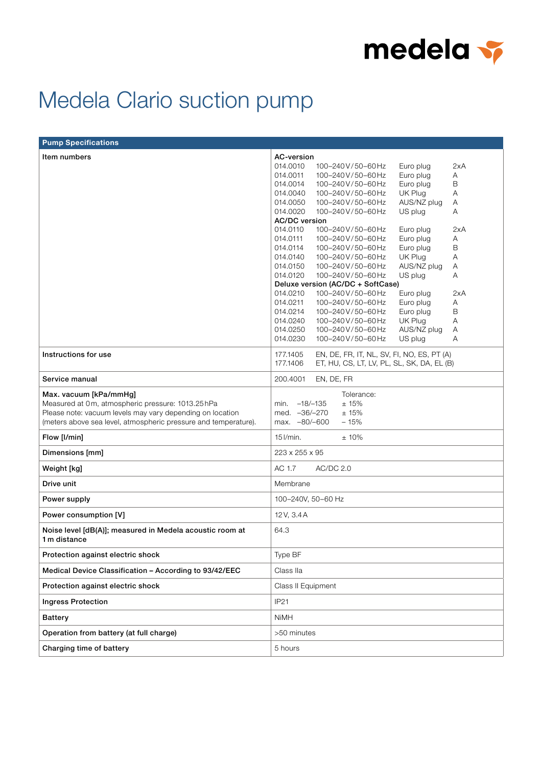

## Medela Clario suction pump

| <b>Pump Specifications</b>                                               |                                                          |
|--------------------------------------------------------------------------|----------------------------------------------------------|
| Item numbers                                                             | AC-version                                               |
|                                                                          | 014.0010<br>100-240V/50-60Hz<br>Euro plug<br>2xA         |
|                                                                          | 014.0011<br>100-240V/50-60Hz<br>Euro plug<br>Α           |
|                                                                          | Euro plug<br>B<br>014.0014<br>100-240V/50-60Hz           |
|                                                                          | UK Plug<br>014.0040<br>100-240V/50-60Hz<br>Α             |
|                                                                          | 014.0050<br>100-240V/50-60Hz<br>AUS/NZ plug<br>Α         |
|                                                                          | 014.0020<br>100-240V/50-60Hz<br>US plug<br>Α             |
|                                                                          | <b>AC/DC</b> version                                     |
|                                                                          | 014.0110<br>100-240V/50-60Hz<br>Euro plug<br>2xA         |
|                                                                          | Euro plug<br>014.0111<br>100-240V/50-60Hz<br>Α           |
|                                                                          | Euro plug<br>$\mathsf B$<br>014.0114<br>100-240V/50-60Hz |
|                                                                          | 014.0140<br>100-240V/50-60Hz<br>UK Plug<br>Α             |
|                                                                          | 014.0150<br>100-240V/50-60Hz<br>AUS/NZ plug<br>Α         |
|                                                                          | 014.0120<br>100-240V/50-60Hz<br>US plug<br>Α             |
|                                                                          | Deluxe version (AC/DC + SoftCase)                        |
|                                                                          | 014.0210<br>100-240V/50-60Hz<br>2xA<br>Euro plug         |
|                                                                          | Euro plug<br>014.0211<br>100-240V/50-60Hz<br>Α           |
|                                                                          | $\mathsf B$<br>014.0214<br>100-240V/50-60Hz<br>Euro plug |
|                                                                          | A<br>014.0240<br>100-240V/50-60Hz<br>UK Plug             |
|                                                                          | AUS/NZ plug<br>014.0250<br>100-240V/50-60Hz<br>Α         |
|                                                                          | 014.0230<br>100-240V/50-60Hz<br>US plug<br>A             |
|                                                                          |                                                          |
| Instructions for use                                                     | 177.1405<br>EN, DE, FR, IT, NL, SV, FI, NO, ES, PT (A)   |
|                                                                          | 177.1406<br>ET, HU, CS, LT, LV, PL, SL, SK, DA, EL (B)   |
| Service manual                                                           | EN, DE, FR<br>200.4001                                   |
| Max. vacuum [kPa/mmHg]                                                   | Tolerance:                                               |
| Measured at 0m, atmospheric pressure: 1013.25 hPa                        | ±15%<br>$-18/-135$<br>min.                               |
| Please note: vacuum levels may vary depending on location                | med. -36/-270<br>±15%                                    |
| (meters above sea level, atmospheric pressure and temperature).          | max. -80/-600<br>$-15%$                                  |
|                                                                          |                                                          |
| Flow [I/min]                                                             | $15$ $l/min$ .<br>±10%                                   |
| Dimensions [mm]                                                          | 223 x 255 x 95                                           |
| Weight [kg]                                                              | AC 1.7<br>AC/DC 2.0                                      |
| Drive unit                                                               | Membrane                                                 |
| Power supply                                                             | 100-240V, 50-60 Hz                                       |
| Power consumption [V]                                                    | 12V, 3.4A                                                |
| Noise level [dB(A)]; measured in Medela acoustic room at<br>1 m distance | 64.3                                                     |
| Protection against electric shock                                        | Type BF                                                  |
| Medical Device Classification - According to 93/42/EEC                   | Class IIa                                                |
| Protection against electric shock                                        | Class II Equipment                                       |
| <b>Ingress Protection</b>                                                | IP21                                                     |
| <b>Battery</b>                                                           | <b>NiMH</b>                                              |
| Operation from battery (at full charge)                                  | >50 minutes                                              |
| Charging time of battery                                                 | 5 hours                                                  |